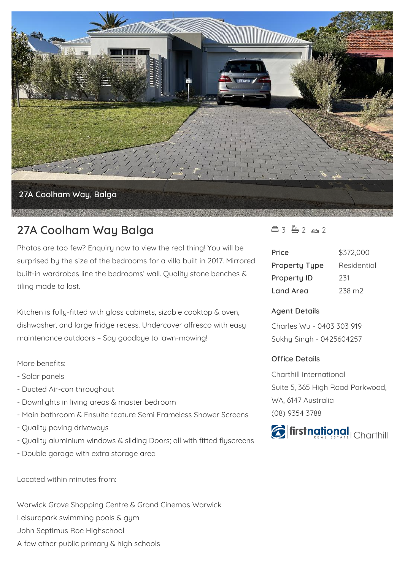

# **27A Coolham Way Balga**

Photos are too few? Enquiry now to view the real thing! You will be surprised by the size of the bedrooms for a villa built in 2017. Mirrored built-in wardrobes line the bedrooms' wall. Quality stone benches & tiling made to last.

Kitchen is fully-fitted with gloss cabinets, sizable cooktop & oven, dishwasher, and large fridge recess. Undercover alfresco with easy maintenance outdoors – Say goodbye to lawn-mowing!

More benefits:

- Solar panels
- Ducted Air-con throughout
- Downlights in living areas & master bedroom
- Main bathroom & Ensuite feature Semi Frameless Shower Screens
- Quality paving driveways
- Quality aluminium windows & sliding Doors; all with fitted flyscreens
- Double garage with extra storage area

Located within minutes from:

Warwick Grove Shopping Centre & Grand Cinemas Warwick Leisurepark swimming pools & gym John Septimus Roe Highschool A few other public primary & high schools

### $43 - 2 2 2$

| Price                | \$372,000          |
|----------------------|--------------------|
| <b>Property Type</b> | Residential        |
| <b>Property ID</b>   | 231                |
| Land Area            | 238 m <sub>2</sub> |

#### **Agent Details**

Charles Wu - 0403 303 919 Sukhy Singh - 0425604257

#### **Office Details**

Charthill International Suite 5, 365 High Road Parkwood, WA, 6147 Australia (08) 9354 3788